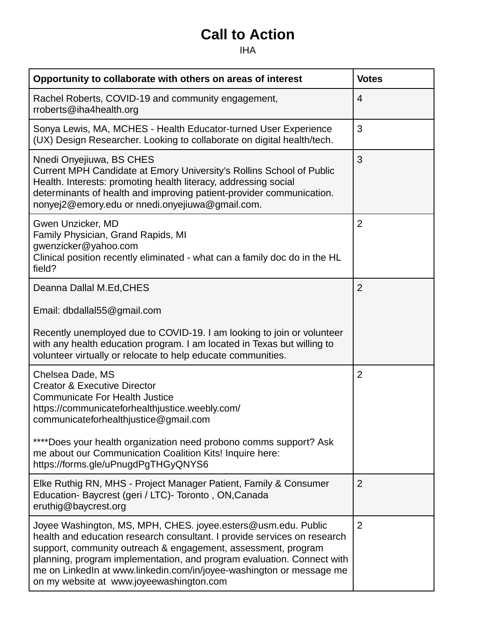## **Call to Action**

## IHA

| Opportunity to collaborate with others on areas of interest                                                                                                                                                                                                                                                                                                                                              | <b>Votes</b>   |
|----------------------------------------------------------------------------------------------------------------------------------------------------------------------------------------------------------------------------------------------------------------------------------------------------------------------------------------------------------------------------------------------------------|----------------|
| Rachel Roberts, COVID-19 and community engagement,<br>rroberts@iha4health.org                                                                                                                                                                                                                                                                                                                            | $\overline{4}$ |
| Sonya Lewis, MA, MCHES - Health Educator-turned User Experience<br>(UX) Design Researcher. Looking to collaborate on digital health/tech.                                                                                                                                                                                                                                                                | 3              |
| Nnedi Onyejiuwa, BS CHES<br>Current MPH Candidate at Emory University's Rollins School of Public<br>Health. Interests: promoting health literacy, addressing social<br>determinants of health and improving patient-provider communication.<br>nonyej2@emory.edu or nnedi.onyejiuwa@gmail.com.                                                                                                           | 3              |
| Gwen Unzicker, MD<br>Family Physician, Grand Rapids, MI<br>gwenzicker@yahoo.com<br>Clinical position recently eliminated - what can a family doc do in the HL<br>field?                                                                                                                                                                                                                                  | $\overline{2}$ |
| Deanna Dallal M.Ed, CHES                                                                                                                                                                                                                                                                                                                                                                                 | $\overline{2}$ |
| Email: dbdallal55@gmail.com                                                                                                                                                                                                                                                                                                                                                                              |                |
| Recently unemployed due to COVID-19. I am looking to join or volunteer<br>with any health education program. I am located in Texas but willing to<br>volunteer virtually or relocate to help educate communities.                                                                                                                                                                                        |                |
| Chelsea Dade, MS<br><b>Creator &amp; Executive Director</b><br><b>Communicate For Health Justice</b><br>https://communicateforhealthjustice.weebly.com/<br>communicateforhealthjustice@gmail.com                                                                                                                                                                                                         | $\overline{2}$ |
| ****Does your health organization need probono comms support? Ask<br>me about our Communication Coalition Kits! Inquire here:<br>https://forms.gle/uPnugdPgTHGyQNYS6                                                                                                                                                                                                                                     |                |
| Elke Ruthig RN, MHS - Project Manager Patient, Family & Consumer<br>Education- Baycrest (geri / LTC)- Toronto, ON, Canada<br>eruthig@baycrest.org                                                                                                                                                                                                                                                        | $\overline{2}$ |
| Joyee Washington, MS, MPH, CHES. joyee.esters@usm.edu. Public<br>health and education research consultant. I provide services on research<br>support, community outreach & engagement, assessment, program<br>planning, program implementation, and program evaluation. Connect with<br>me on LinkedIn at www.linkedin.com/in/joyee-washington or message me<br>on my website at www.joyeewashington.com | $\overline{2}$ |